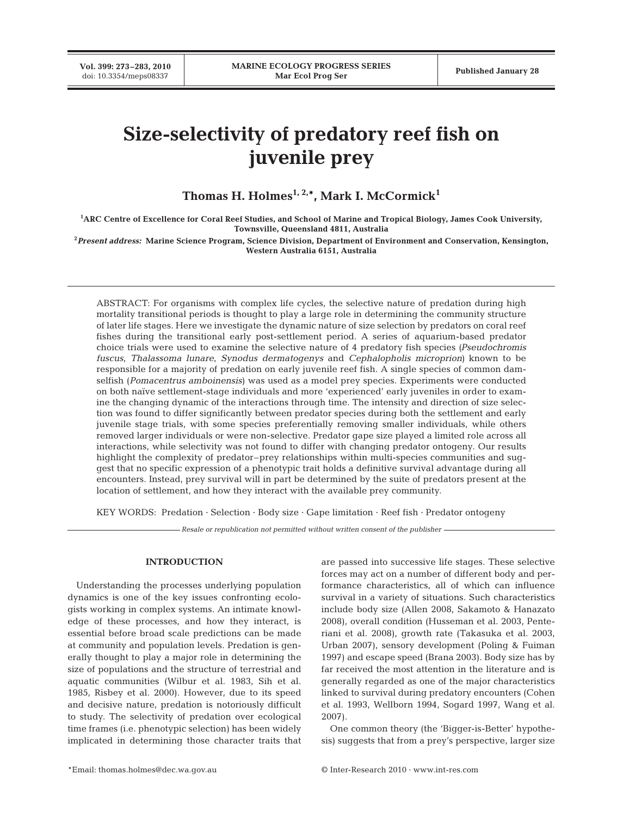# **Size-selectivity of predatory reef fish on juvenile prey**

**Thomas H. Holmes1, 2,\*, Mark I. McCormick1**

**1 ARC Centre of Excellence for Coral Reef Studies, and School of Marine and Tropical Biology, James Cook University, Townsville, Queensland 4811, Australia**

**<sup>2</sup>***Present address:* **Marine Science Program, Science Division, Department of Environment and Conservation, Kensington, Western Australia 6151, Australia**

ABSTRACT: For organisms with complex life cycles, the selective nature of predation during high mortality transitional periods is thought to play a large role in determining the community structure of later life stages. Here we investigate the dynamic nature of size selection by predators on coral reef fishes during the transitional early post-settlement period. A series of aquarium-based predator choice trials were used to examine the selective nature of 4 predatory fish species *(Pseudochromis fuscus*, *Thalassoma lunare*, *Synodus dermatogenys* and *Cephalopholis microprion)* known to be responsible for a majority of predation on early juvenile reef fish. A single species of common damselfish (*Pomacentrus amboinensis*) was used as a model prey species. Experiments were conducted on both naïve settlement-stage individuals and more 'experienced' early juveniles in order to examine the changing dynamic of the interactions through time. The intensity and direction of size selection was found to differ significantly between predator species during both the settlement and early juvenile stage trials, with some species preferentially removing smaller individuals, while others removed larger individuals or were non-selective. Predator gape size played a limited role across all interactions, while selectivity was not found to differ with changing predator ontogeny. Our results highlight the complexity of predator–prey relationships within multi-species communities and suggest that no specific expression of a phenotypic trait holds a definitive survival advantage during all encounters. Instead, prey survival will in part be determined by the suite of predators present at the location of settlement, and how they interact with the available prey community.

KEY WORDS: Predation · Selection · Body size · Gape limitation · Reef fish · Predator ontogeny

*Resale or republication not permitted without written consent of the publisher*

# **INTRODUCTION**

Understanding the processes underlying population dynamics is one of the key issues confronting ecologists working in complex systems. An intimate knowledge of these processes, and how they interact, is essential before broad scale predictions can be made at community and population levels. Predation is generally thought to play a major role in determining the size of populations and the structure of terrestrial and aquatic communities (Wilbur et al. 1983, Sih et al. 1985, Risbey et al. 2000). However, due to its speed and decisive nature, predation is notoriously difficult to study. The selectivity of predation over ecological time frames (i.e. phenotypic selection) has been widely implicated in determining those character traits that are passed into successive life stages. These selective forces may act on a number of different body and performance characteristics, all of which can influence survival in a variety of situations. Such characteristics include body size (Allen 2008, Sakamoto & Hanazato 2008), overall condition (Husseman et al. 2003, Penteriani et al. 2008), growth rate (Takasuka et al. 2003, Urban 2007), sensory development (Poling & Fuiman 1997) and escape speed (Brana 2003). Body size has by far received the most attention in the literature and is generally regarded as one of the major characteristics linked to survival during predatory encounters (Cohen et al. 1993, Wellborn 1994, Sogard 1997, Wang et al. 2007).

One common theory (the 'Bigger-is-Better' hypothesis) suggests that from a prey's perspective, larger size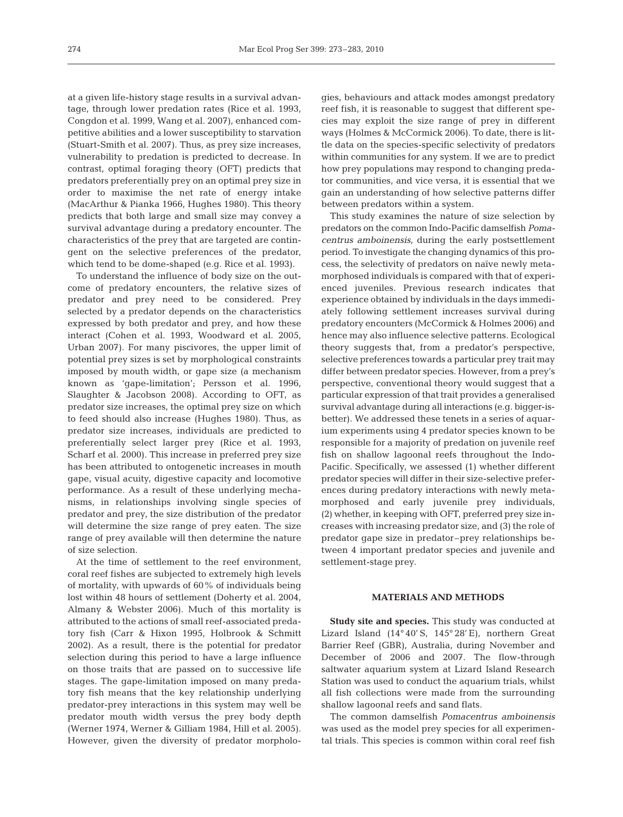at a given life-history stage results in a survival advantage, through lower predation rates (Rice et al. 1993, Congdon et al. 1999, Wang et al. 2007), enhanced competitive abilities and a lower susceptibility to starvation (Stuart-Smith et al. 2007). Thus, as prey size increases, vulnerability to predation is predicted to decrease. In contrast, optimal foraging theory (OFT) predicts that predators preferentially prey on an optimal prey size in order to maximise the net rate of energy intake (MacArthur & Pianka 1966, Hughes 1980). This theory predicts that both large and small size may convey a survival advantage during a predatory encounter. The characteristics of the prey that are targeted are contingent on the selective preferences of the predator, which tend to be dome-shaped (e.g. Rice et al. 1993).

To understand the influence of body size on the outcome of predatory encounters, the relative sizes of predator and prey need to be considered. Prey selected by a predator depends on the characteristics expressed by both predator and prey, and how these interact (Cohen et al. 1993, Woodward et al. 2005, Urban 2007). For many piscivores, the upper limit of potential prey sizes is set by morphological constraints imposed by mouth width, or gape size (a mechanism known as 'gape-limitation'; Persson et al. 1996, Slaughter & Jacobson 2008). According to OFT, as predator size increases, the optimal prey size on which to feed should also increase (Hughes 1980). Thus, as predator size increases, individuals are predicted to preferentially select larger prey (Rice et al. 1993, Scharf et al. 2000). This increase in preferred prey size has been attributed to ontogenetic increases in mouth gape, visual acuity, digestive capacity and locomotive performance. As a result of these underlying mechanisms, in relationships involving single species of predator and prey, the size distribution of the predator will determine the size range of prey eaten. The size range of prey available will then determine the nature of size selection.

At the time of settlement to the reef environment, coral reef fishes are subjected to extremely high levels of mortality, with upwards of 60% of individuals being lost within 48 hours of settlement (Doherty et al. 2004, Almany & Webster 2006). Much of this mortality is attributed to the actions of small reef-associated predatory fish (Carr & Hixon 1995, Holbrook & Schmitt 2002). As a result, there is the potential for predator selection during this period to have a large influence on those traits that are passed on to successive life stages. The gape-limitation imposed on many predatory fish means that the key relationship underlying predator-prey interactions in this system may well be predator mouth width versus the prey body depth (Werner 1974, Werner & Gilliam 1984, Hill et al. 2005). However, given the diversity of predator morphologies, behaviours and attack modes amongst predatory reef fish, it is reasonable to suggest that different species may exploit the size range of prey in different ways (Holmes & McCormick 2006). To date, there is little data on the species-specific selectivity of predators within communities for any system. If we are to predict how prey populations may respond to changing predator communities, and vice versa, it is essential that we gain an understanding of how selective patterns differ between predators within a system.

This study examines the nature of size selection by predators on the common Indo-Pacific damselfish *Pomacentrus amboinensis*, during the early postsettlement period. To investigate the changing dynamics of this process, the selectivity of predators on naïve newly metamorphosed individuals is compared with that of experienced juveniles. Previous research indicates that experience obtained by individuals in the days immediately following settlement increases survival during predatory encounters (McCormick & Holmes 2006) and hence may also influence selective patterns. Ecological theory suggests that, from a predator's perspective, selective preferences towards a particular prey trait may differ between predator species. However, from a prey's perspective, conventional theory would suggest that a particular expression of that trait provides a generalised survival advantage during all interactions (e.g. bigger-isbetter). We addressed these tenets in a series of aquarium experiments using 4 predator species known to be responsible for a majority of predation on juvenile reef fish on shallow lagoonal reefs throughout the Indo-Pacific. Specifically, we assessed (1) whether different predator species will differ in their size-selective preferences during predatory interactions with newly metamorphosed and early juvenile prey individuals, (2) whether, in keeping with OFT, preferred prey size increases with increasing predator size, and (3) the role of predator gape size in predator–prey relationships between 4 important predator species and juvenile and settlement-stage prey.

#### **MATERIALS AND METHODS**

**Study site and species.** This study was conducted at Lizard Island (14° 40' S, 145° 28' E), northern Great Barrier Reef (GBR), Australia, during November and December of 2006 and 2007. The flow-through saltwater aquarium system at Lizard Island Research Station was used to conduct the aquarium trials, whilst all fish collections were made from the surrounding shallow lagoonal reefs and sand flats.

The common damselfish *Pomacentrus amboinensis* was used as the model prey species for all experimental trials. This species is common within coral reef fish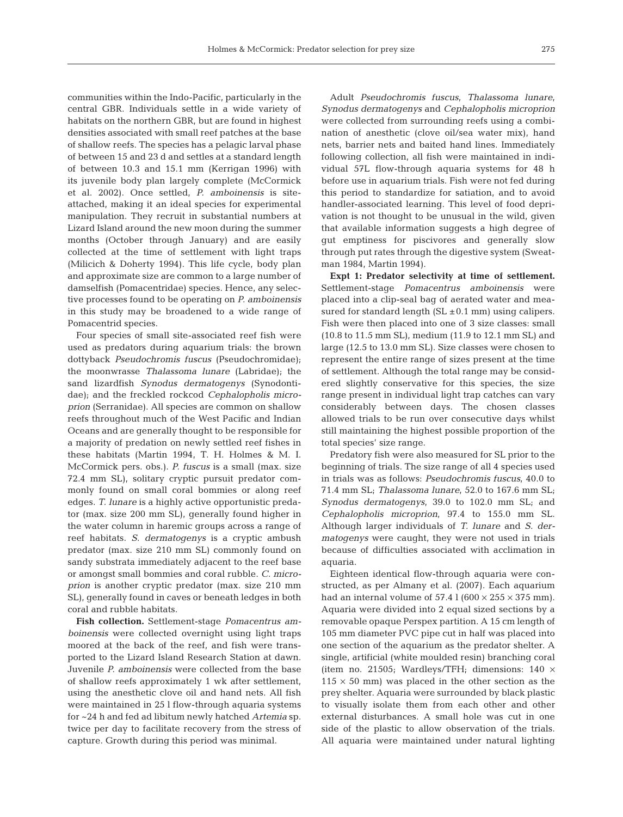communities within the Indo-Pacific, particularly in the central GBR. Individuals settle in a wide variety of habitats on the northern GBR, but are found in highest densities associated with small reef patches at the base of shallow reefs. The species has a pelagic larval phase of between 15 and 23 d and settles at a standard length of between 10.3 and 15.1 mm (Kerrigan 1996) with its juvenile body plan largely complete (McCormick et al. 2002). Once settled, *P. amboinensis* is siteattached, making it an ideal species for experimental manipulation. They recruit in substantial numbers at Lizard Island around the new moon during the summer months (October through January) and are easily collected at the time of settlement with light traps (Milicich & Doherty 1994). This life cycle, body plan and approximate size are common to a large number of damselfish (Pomacentridae) species. Hence, any selective processes found to be operating on *P. amboinensis* in this study may be broadened to a wide range of Pomacentrid species.

Four species of small site-associated reef fish were used as predators during aquarium trials: the brown dottyback *Pseudochromis fuscus* (Pseudochromidae); the moonwrasse *Thalassoma lunare* (Labridae); the sand lizardfish *Synodus dermatogenys* (Synodontidae); and the freckled rockcod *Cephalopholis microprion* (Serranidae). All species are common on shallow reefs throughout much of the West Pacific and Indian Oceans and are generally thought to be responsible for a majority of predation on newly settled reef fishes in these habitats (Martin 1994, T. H. Holmes & M. I. McCormick pers. obs.). *P. fuscus* is a small (max. size 72.4 mm SL), solitary cryptic pursuit predator commonly found on small coral bommies or along reef edges. *T. lunare* is a highly active opportunistic predator (max. size 200 mm SL), generally found higher in the water column in haremic groups across a range of reef habitats. *S. dermatogenys* is a cryptic ambush predator (max. size 210 mm SL) commonly found on sandy substrata immediately adjacent to the reef base or amongst small bommies and coral rubble. *C. microprion* is another cryptic predator (max. size 210 mm SL), generally found in caves or beneath ledges in both coral and rubble habitats.

**Fish collection.** Settlement-stage *Pomacentrus amboinensis* were collected overnight using light traps moored at the back of the reef, and fish were transported to the Lizard Island Research Station at dawn. Juvenile *P. amboinensis* were collected from the base of shallow reefs approximately 1 wk after settlement, using the anesthetic clove oil and hand nets. All fish were maintained in 25 l flow-through aquaria systems for ~24 h and fed ad libitum newly hatched *Artemia* sp. twice per day to facilitate recovery from the stress of capture. Growth during this period was minimal.

Adult *Pseudochromis fuscus*, *Thalassoma lunare*, *Synodus dermatogenys* and *Cephalopholis microprion* were collected from surrounding reefs using a combination of anesthetic (clove oil/sea water mix), hand nets, barrier nets and baited hand lines. Immediately following collection, all fish were maintained in individual 57L flow-through aquaria systems for 48 h before use in aquarium trials. Fish were not fed during this period to standardize for satiation, and to avoid handler-associated learning. This level of food deprivation is not thought to be unusual in the wild, given that available information suggests a high degree of gut emptiness for piscivores and generally slow through put rates through the digestive system (Sweatman 1984, Martin 1994).

**Expt 1: Predator selectivity at time of settlement.** Settlement-stage *Pomacentrus amboinensis* were placed into a clip-seal bag of aerated water and measured for standard length  $(SL \pm 0.1 \text{ mm})$  using calipers. Fish were then placed into one of 3 size classes: small (10.8 to 11.5 mm SL), medium (11.9 to 12.1 mm SL) and large (12.5 to 13.0 mm SL). Size classes were chosen to represent the entire range of sizes present at the time of settlement. Although the total range may be considered slightly conservative for this species, the size range present in individual light trap catches can vary considerably between days. The chosen classes allowed trials to be run over consecutive days whilst still maintaining the highest possible proportion of the total species' size range.

Predatory fish were also measured for SL prior to the beginning of trials. The size range of all 4 species used in trials was as follows: *Pseudochromis fuscus*, 40.0 to 71.4 mm SL; *Thalassoma lunare*, 52.0 to 167.6 mm SL; *Synodus dermatogenys*, 39.0 to 102.0 mm SL; and *Cephalopholis microprion*, 97.4 to 155.0 mm SL. Although larger individuals of *T. lunare* and *S. dermatogenys* were caught, they were not used in trials because of difficulties associated with acclimation in aquaria.

Eighteen identical flow-through aquaria were constructed, as per Almany et al. (2007). Each aquarium had an internal volume of 57.4 l  $(600 \times 255 \times 375 \text{ mm})$ . Aquaria were divided into 2 equal sized sections by a removable opaque Perspex partition. A 15 cm length of 105 mm diameter PVC pipe cut in half was placed into one section of the aquarium as the predator shelter. A single, artificial (white moulded resin) branching coral (item no. 21505; Wardleys/TFH; dimensions:  $140 \times$  $115 \times 50$  mm) was placed in the other section as the prey shelter. Aquaria were surrounded by black plastic to visually isolate them from each other and other external disturbances. A small hole was cut in one side of the plastic to allow observation of the trials. All aquaria were maintained under natural lighting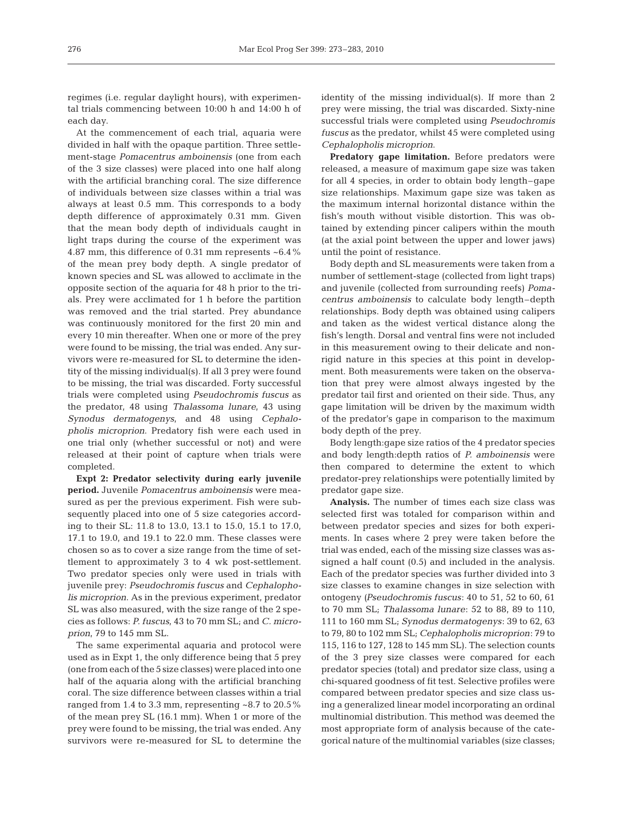regimes (i.e. regular daylight hours), with experimental trials commencing between 10:00 h and 14:00 h of each day.

At the commencement of each trial, aquaria were divided in half with the opaque partition. Three settlement-stage *Pomacentrus amboinensis* (one from each of the 3 size classes) were placed into one half along with the artificial branching coral. The size difference of individuals between size classes within a trial was always at least 0.5 mm. This corresponds to a body depth difference of approximately 0.31 mm. Given that the mean body depth of individuals caught in light traps during the course of the experiment was 4.87 mm, this difference of 0.31 mm represents ~6.4% of the mean prey body depth. A single predator of known species and SL was allowed to acclimate in the opposite section of the aquaria for 48 h prior to the trials. Prey were acclimated for 1 h before the partition was removed and the trial started. Prey abundance was continuously monitored for the first 20 min and every 10 min thereafter. When one or more of the prey were found to be missing, the trial was ended. Any survivors were re-measured for SL to determine the identity of the missing individual(s). If all 3 prey were found to be missing, the trial was discarded. Forty successful trials were completed using *Pseudochromis fuscus* as the predator, 48 using *Thalassoma lunare*, 43 using *Synodus dermatogenys*, and 48 using *Cephalopholis microprion*. Predatory fish were each used in one trial only (whether successful or not) and were released at their point of capture when trials were completed.

**Expt 2: Predator selectivity during early juvenile period.** Juvenile *Pomacentrus amboinensis* were measured as per the previous experiment. Fish were subsequently placed into one of 5 size categories according to their SL: 11.8 to 13.0, 13.1 to 15.0, 15.1 to 17.0, 17.1 to 19.0, and 19.1 to 22.0 mm. These classes were chosen so as to cover a size range from the time of settlement to approximately 3 to 4 wk post-settlement. Two predator species only were used in trials with juvenile prey: *Pseudochromis fuscus* and *Cephalopholis microprion*. As in the previous experiment, predator SL was also measured, with the size range of the 2 species as follows: *P. fuscus*, 43 to 70 mm SL; and *C. microprion*, 79 to 145 mm SL.

The same experimental aquaria and protocol were used as in Expt 1, the only difference being that 5 prey (one from each of the 5 size classes) were placed into one half of the aquaria along with the artificial branching coral. The size difference between classes within a trial ranged from 1.4 to 3.3 mm, representing ~8.7 to 20.5% of the mean prey SL (16.1 mm). When 1 or more of the prey were found to be missing, the trial was ended. Any survivors were re-measured for SL to determine the identity of the missing individual(s). If more than 2 prey were missing, the trial was discarded. Sixty-nine successful trials were completed using *Pseudochromis fuscus* as the predator, whilst 45 were completed using *Cephalopholis microprion*.

**Predatory gape limitation.** Before predators were released, a measure of maximum gape size was taken for all 4 species, in order to obtain body length–gape size relationships. Maximum gape size was taken as the maximum internal horizontal distance within the fish's mouth without visible distortion. This was obtained by extending pincer calipers within the mouth (at the axial point between the upper and lower jaws) until the point of resistance.

Body depth and SL measurements were taken from a number of settlement-stage (collected from light traps) and juvenile (collected from surrounding reefs) *Pomacentrus amboinensis* to calculate body length–depth relationships. Body depth was obtained using calipers and taken as the widest vertical distance along the fish's length. Dorsal and ventral fins were not included in this measurement owing to their delicate and nonrigid nature in this species at this point in development. Both measurements were taken on the observation that prey were almost always ingested by the predator tail first and oriented on their side. Thus, any gape limitation will be driven by the maximum width of the predator's gape in comparison to the maximum body depth of the prey.

Body length:gape size ratios of the 4 predator species and body length:depth ratios of *P. amboinensis* were then compared to determine the extent to which predator-prey relationships were potentially limited by predator gape size.

**Analysis.** The number of times each size class was selected first was totaled for comparison within and between predator species and sizes for both experiments. In cases where 2 prey were taken before the trial was ended, each of the missing size classes was assigned a half count (0.5) and included in the analysis. Each of the predator species was further divided into 3 size classes to examine changes in size selection with ontogeny *(Pseudochromis fuscus*: 40 to 51, 52 to 60, 61 to 70 mm SL; *Thalassoma lunare*: 52 to 88, 89 to 110, 111 to 160 mm SL; *Synodus dermatogenys*: 39 to 62, 63 to 79, 80 to 102 mm SL; *Cephalopholis microprion*: 79 to 115, 116 to 127, 128 to 145 mm SL). The selection counts of the 3 prey size classes were compared for each predator species (total) and predator size class, using a chi-squared goodness of fit test. Selective profiles were compared between predator species and size class using a generalized linear model incorporating an ordinal multinomial distribution. This method was deemed the most appropriate form of analysis because of the categorical nature of the multinomial variables (size classes;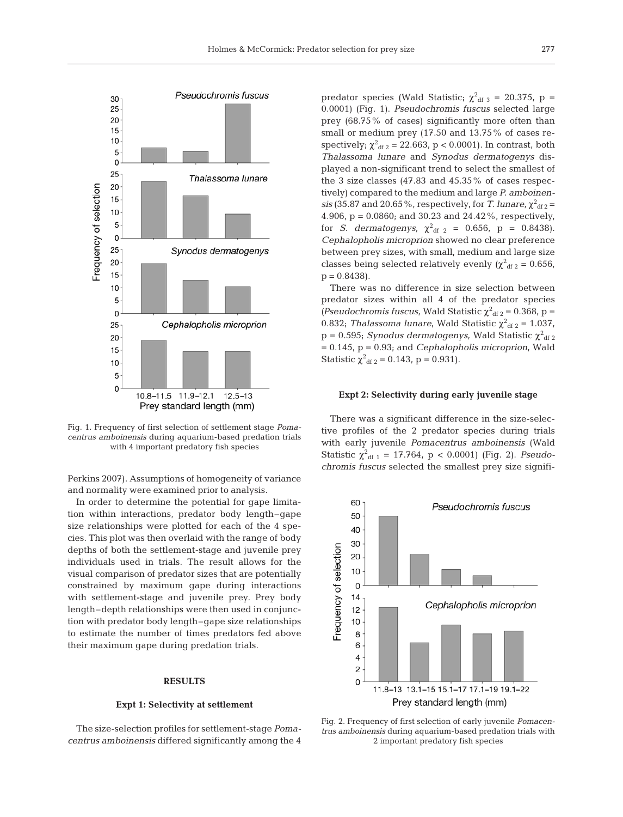

Fig. 1. Frequency of first selection of settlement stage *Pomacentrus amboinensis* during aquarium-based predation trials with 4 important predatory fish species

Perkins 2007). Assumptions of homogeneity of variance and normality were examined prior to analysis.

In order to determine the potential for gape limitation within interactions, predator body length–gape size relationships were plotted for each of the 4 species. This plot was then overlaid with the range of body depths of both the settlement-stage and juvenile prey individuals used in trials. The result allows for the visual comparison of predator sizes that are potentially constrained by maximum gape during interactions with settlement-stage and juvenile prey. Prey body length–depth relationships were then used in conjunction with predator body length–gape size relationships to estimate the number of times predators fed above their maximum gape during predation trials.

# **RESULTS**

#### **Expt 1: Selectivity at settlement**

The size-selection profiles for settlement-stage *Pomacentrus amboinensis* differed significantly among the 4

predator species (Wald Statistic;  $\chi^2_{\text{df }3}$  = 20.375, p = 0.0001) (Fig. 1). *Pseudochromis fuscus* selected large prey (68.75% of cases) significantly more often than small or medium prey (17.50 and 13.75% of cases respectively;  $\chi^2_{\text{df 2}} = 22.663$ , p < 0.0001). In contrast, both *Thalassoma lunare* and *Synodus dermatogenys* displayed a non-significant trend to select the smallest of the 3 size classes (47.83 and 45.35% of cases respectively) compared to the medium and large *P. amboinen* $sis$  (35.87 and 20.65%, respectively, for *T. lunare*,  $\chi^2_{\text{df 2}} =$ 4.906, p = 0.0860; and 30.23 and 24.42%, respectively, for *S. dermatogenys*,  $\chi^2_{\text{df 2}} = 0.656$ ,  $p = 0.8438$ ). *Cephalopholis microprion* showed no clear preference between prey sizes, with small, medium and large size classes being selected relatively evenly ( $\chi^2$ <sub>df 2</sub> = 0.656,  $p = 0.8438$ .

There was no difference in size selection between predator sizes within all 4 of the predator species (*Pseudochromis fuscus*, Wald Statistic  $\chi^2_{\text{df 2}} = 0.368$ , p = 0.832; *Thalassoma lunare*, Wald Statistic  $\chi^2_{\text{df }2} = 1.037$ ,  $p = 0.595$ ; *Synodus dermatogenys*, Wald Statistic  $\chi^2$ <sub>df 2</sub> = 0.145, p = 0.93; and *Cephalopholis microprion*, Wald Statistic  $\chi^2_{\text{df 2}} = 0.143$ , p = 0.931).

# **Expt 2: Selectivity during early juvenile stage**

There was a significant difference in the size-selective profiles of the 2 predator species during trials with early juvenile *Pomacentrus amboinensis* (Wald Statistic  $\chi^2_{\text{df 1}} = 17.764$ , p < 0.0001) (Fig. 2). *Pseudochromis fuscus* selected the smallest prey size signifi-



Fig. 2. Frequency of first selection of early juvenile *Pomacentrus amboinensis* during aquarium-based predation trials with 2 important predatory fish species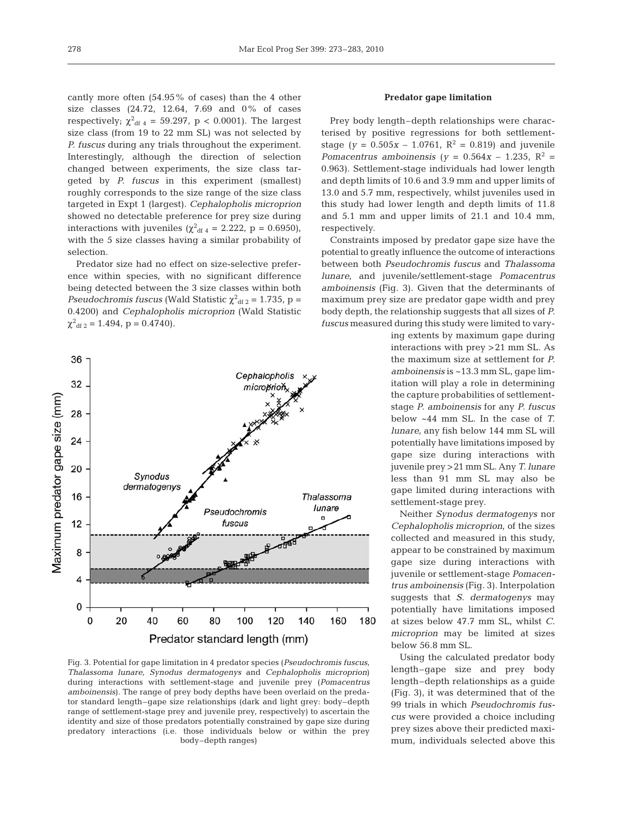cantly more often (54.95% of cases) than the 4 other size classes (24.72, 12.64, 7.69 and 0% of cases respectively;  $\chi^2_{\text{df 4}} = 59.297$ , p < 0.0001). The largest size class (from 19 to 22 mm SL) was not selected by *P. fuscus* during any trials throughout the experiment. Interestingly, although the direction of selection changed between experiments, the size class targeted by *P. fuscus* in this experiment (smallest) roughly corresponds to the size range of the size class targeted in Expt 1 (largest). *Cephalopholis microprion* showed no detectable preference for prey size during interactions with juveniles ( $\chi^2_{\text{df 4}} = 2.222$ , p = 0.6950), with the 5 size classes having a similar probability of selection.

Predator size had no effect on size-selective preference within species, with no significant difference being detected between the 3 size classes within both *Pseudochromis fuscus* (Wald Statistic  $\chi^2_{\text{df }2} = 1.735$ , p = 0.4200) and *Cephalopholis microprion* (Wald Statistic  $\chi^2$ <sub>df 2</sub> = 1.494, p = 0.4740).



Fig. 3. Potential for gape limitation in 4 predator species (*Pseudochromis fuscus*, *Thalassoma lunare, Synodus dermatogenys* and *Cephalopholis microprion*) during interactions with settlement-stage and juvenile prey (*Pomacentrus amboinensis*). The range of prey body depths have been overlaid on the predator standard length–gape size relationships (dark and light grey: body–depth range of settlement-stage prey and juvenile prey, respectively) to ascertain the identity and size of those predators potentially constrained by gape size during predatory interactions (i.e. those individuals below or within the prey body–depth ranges)

# **Predator gape limitation**

Prey body length–depth relationships were characterised by positive regressions for both settlementstage ( $y = 0.505x - 1.0761$ ,  $R^2 = 0.819$ ) and juvenile *Pomacentrus amboinensis* ( $y = 0.564x - 1.235$ ,  $R^2 =$ 0.963). Settlement-stage individuals had lower length and depth limits of 10.6 and 3.9 mm and upper limits of 13.0 and 5.7 mm, respectively, whilst juveniles used in this study had lower length and depth limits of 11.8 and 5.1 mm and upper limits of 21.1 and 10.4 mm, respectively.

Constraints imposed by predator gape size have the potential to greatly influence the outcome of interactions between both *Pseudochromis fuscus* and *Thalassoma lunare*, and juvenile/settlement-stage *Pomacentrus amboinensis* (Fig. 3). Given that the determinants of maximum prey size are predator gape width and prey body depth, the relationship suggests that all sizes of *P. fuscus* measured during this study were limited to vary-

> ing extents by maximum gape during interactions with prey >21 mm SL. As the maximum size at settlement for *P. amboinensis* is ~13.3 mm SL, gape limitation will play a role in determining the capture probabilities of settlementstage *P. amboinensis* for any *P. fuscus* below ~44 mm SL. In the case of *T. lunare*, any fish below 144 mm SL will potentially have limitations imposed by gape size during interactions with juvenile prey >21 mm SL. Any *T. lunare* less than 91 mm SL may also be gape limited during interactions with settlement-stage prey.

> Neither *Synodus dermatogenys* nor *Cephalopholis microprion*, of the sizes collected and measured in this study, appear to be constrained by maximum gape size during interactions with juvenile or settlement-stage *Pomacentrus amboinensis* (Fig. 3). Interpolation suggests that *S. dermatogenys* may potentially have limitations imposed at sizes below 47.7 mm SL, whilst *C. microprion* may be limited at sizes below 56.8 mm SL.

> Using the calculated predator body length–gape size and prey body length–depth relationships as a guide (Fig. 3), it was determined that of the 99 trials in which *Pseudochromis fuscus* were provided a choice including prey sizes above their predicted maximum, individuals selected above this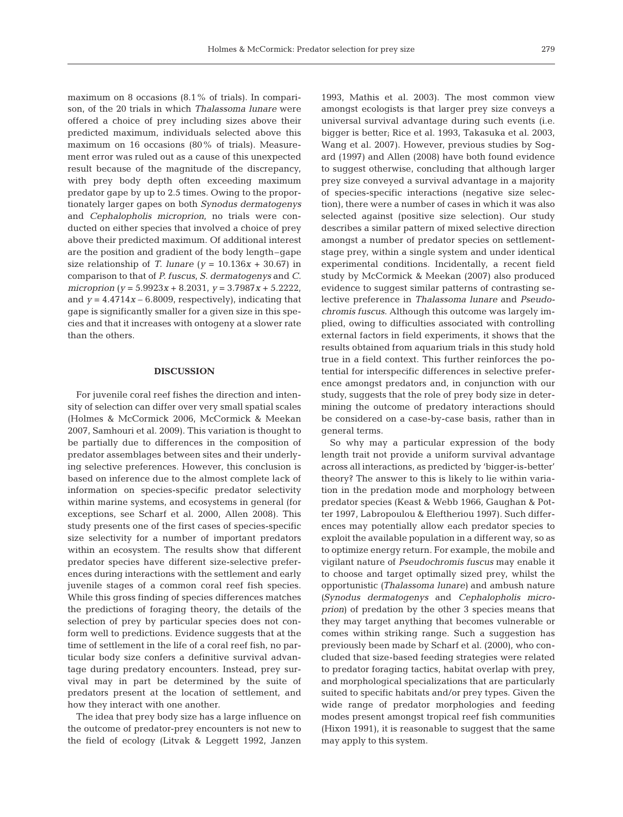maximum on 8 occasions (8.1% of trials). In comparison, of the 20 trials in which *Thalassoma lunare* were offered a choice of prey including sizes above their predicted maximum, individuals selected above this maximum on 16 occasions (80% of trials). Measurement error was ruled out as a cause of this unexpected result because of the magnitude of the discrepancy, with prey body depth often exceeding maximum predator gape by up to 2.5 times. Owing to the proportionately larger gapes on both *Synodus dermatogenys* and *Cephalopholis microprion*, no trials were conducted on either species that involved a choice of prey above their predicted maximum. Of additional interest are the position and gradient of the body length–gape size relationship of *T. lunare* ( $y = 10.136x + 30.67$ ) in comparison to that of *P. fuscus*, *S. dermatogenys* and *C. microprion* (*y* = 5.9923*x* + 8.2031, *y* = 3.7987*x* + 5.2222, and  $y = 4.4714x - 6.8009$ , respectively), indicating that gape is significantly smaller for a given size in this species and that it increases with ontogeny at a slower rate than the others.

# **DISCUSSION**

For juvenile coral reef fishes the direction and intensity of selection can differ over very small spatial scales (Holmes & McCormick 2006, McCormick & Meekan 2007, Samhouri et al. 2009). This variation is thought to be partially due to differences in the composition of predator assemblages between sites and their underlying selective preferences. However, this conclusion is based on inference due to the almost complete lack of information on species-specific predator selectivity within marine systems, and ecosystems in general (for exceptions, see Scharf et al. 2000, Allen 2008). This study presents one of the first cases of species-specific size selectivity for a number of important predators within an ecosystem. The results show that different predator species have different size-selective preferences during interactions with the settlement and early juvenile stages of a common coral reef fish species. While this gross finding of species differences matches the predictions of foraging theory, the details of the selection of prey by particular species does not conform well to predictions. Evidence suggests that at the time of settlement in the life of a coral reef fish, no particular body size confers a definitive survival advantage during predatory encounters. Instead, prey survival may in part be determined by the suite of predators present at the location of settlement, and how they interact with one another.

The idea that prey body size has a large influence on the outcome of predator-prey encounters is not new to the field of ecology (Litvak & Leggett 1992, Janzen 1993, Mathis et al. 2003). The most common view amongst ecologists is that larger prey size conveys a universal survival advantage during such events (i.e. bigger is better; Rice et al. 1993, Takasuka et al. 2003, Wang et al. 2007). However, previous studies by Sogard (1997) and Allen (2008) have both found evidence to suggest otherwise, concluding that although larger prey size conveyed a survival advantage in a majority of species-specific interactions (negative size selection), there were a number of cases in which it was also selected against (positive size selection). Our study describes a similar pattern of mixed selective direction amongst a number of predator species on settlementstage prey, within a single system and under identical experimental conditions. Incidentally, a recent field study by McCormick & Meekan (2007) also produced evidence to suggest similar patterns of contrasting selective preference in *Thalassoma lunare* and *Pseudochromis fuscus*. Although this outcome was largely implied, owing to difficulties associated with controlling external factors in field experiments, it shows that the results obtained from aquarium trials in this study hold true in a field context. This further reinforces the potential for interspecific differences in selective preference amongst predators and, in conjunction with our study, suggests that the role of prey body size in determining the outcome of predatory interactions should be considered on a case-by-case basis, rather than in general terms.

So why may a particular expression of the body length trait not provide a uniform survival advantage across all interactions, as predicted by 'bigger-is-better' theory? The answer to this is likely to lie within variation in the predation mode and morphology between predator species (Keast & Webb 1966, Gaughan & Potter 1997, Labropoulou & Eleftheriou 1997). Such differences may potentially allow each predator species to exploit the available population in a different way, so as to optimize energy return. For example, the mobile and vigilant nature of *Pseudochromis fuscus* may enable it to choose and target optimally sized prey, whilst the opportunistic *(Thalassoma lunare)* and ambush nature *(Synodus dermatogenys* and *Cephalopholis microprion*) of predation by the other 3 species means that they may target anything that becomes vulnerable or comes within striking range. Such a suggestion has previously been made by Scharf et al. (2000), who concluded that size-based feeding strategies were related to predator foraging tactics, habitat overlap with prey, and morphological specializations that are particularly suited to specific habitats and/or prey types. Given the wide range of predator morphologies and feeding modes present amongst tropical reef fish communities (Hixon 1991), it is reasonable to suggest that the same may apply to this system.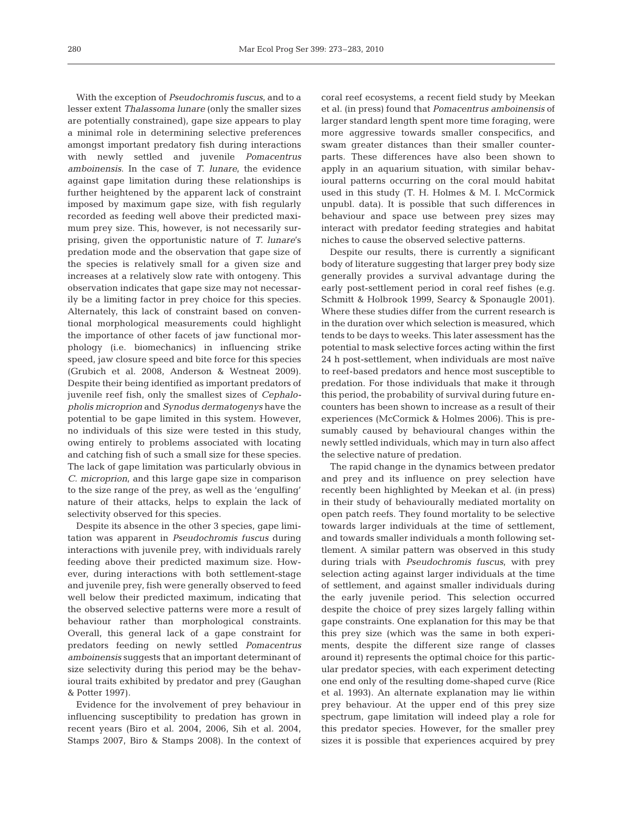With the exception of *Pseudochromis fuscus*, and to a lesser extent *Thalassoma lunare* (only the smaller sizes are potentially constrained), gape size appears to play a minimal role in determining selective preferences amongst important predatory fish during interactions with newly settled and juvenile *Pomacentrus amboinensis*. In the case of *T. lunare*, the evidence against gape limitation during these relationships is further heightened by the apparent lack of constraint imposed by maximum gape size, with fish regularly recorded as feeding well above their predicted maximum prey size. This, however, is not necessarily surprising, given the opportunistic nature of *T. lunare*'s predation mode and the observation that gape size of the species is relatively small for a given size and increases at a relatively slow rate with ontogeny. This observation indicates that gape size may not necessarily be a limiting factor in prey choice for this species. Alternately, this lack of constraint based on conventional morphological measurements could highlight the importance of other facets of jaw functional morphology (i.e. biomechanics) in influencing strike speed, jaw closure speed and bite force for this species (Grubich et al. 2008, Anderson & Westneat 2009). Despite their being identified as important predators of juvenile reef fish, only the smallest sizes of *Cephalopholis microprion* and *Synodus dermatogenys* have the potential to be gape limited in this system. However, no individuals of this size were tested in this study, owing entirely to problems associated with locating and catching fish of such a small size for these species. The lack of gape limitation was particularly obvious in *C. microprion*, and this large gape size in comparison to the size range of the prey, as well as the 'engulfing' nature of their attacks, helps to explain the lack of selectivity observed for this species.

Despite its absence in the other 3 species, gape limitation was apparent in *Pseudochromis fuscus* during interactions with juvenile prey, with individuals rarely feeding above their predicted maximum size. However, during interactions with both settlement-stage and juvenile prey, fish were generally observed to feed well below their predicted maximum, indicating that the observed selective patterns were more a result of behaviour rather than morphological constraints. Overall, this general lack of a gape constraint for predators feeding on newly settled *Pomacentrus amboinensis* suggests that an important determinant of size selectivity during this period may be the behavioural traits exhibited by predator and prey (Gaughan & Potter 1997).

Evidence for the involvement of prey behaviour in influencing susceptibility to predation has grown in recent years (Biro et al. 2004, 2006, Sih et al. 2004, Stamps 2007, Biro & Stamps 2008). In the context of coral reef ecosystems, a recent field study by Meekan et al. (in press) found that *Pomacentrus amboinensis* of larger standard length spent more time foraging, were more aggressive towards smaller conspecifics, and swam greater distances than their smaller counterparts. These differences have also been shown to apply in an aquarium situation, with similar behavioural patterns occurring on the coral mould habitat used in this study (T. H. Holmes & M. I. McCormick unpubl. data). It is possible that such differences in behaviour and space use between prey sizes may interact with predator feeding strategies and habitat niches to cause the observed selective patterns.

Despite our results, there is currently a significant body of literature suggesting that larger prey body size generally provides a survival advantage during the early post-settlement period in coral reef fishes (e.g. Schmitt & Holbrook 1999, Searcy & Sponaugle 2001). Where these studies differ from the current research is in the duration over which selection is measured, which tends to be days to weeks. This later assessment has the potential to mask selective forces acting within the first 24 h post-settlement, when individuals are most naïve to reef-based predators and hence most susceptible to predation. For those individuals that make it through this period, the probability of survival during future encounters has been shown to increase as a result of their experiences (McCormick & Holmes 2006). This is presumably caused by behavioural changes within the newly settled individuals, which may in turn also affect the selective nature of predation.

The rapid change in the dynamics between predator and prey and its influence on prey selection have recently been highlighted by Meekan et al. (in press) in their study of behaviourally mediated mortality on open patch reefs. They found mortality to be selective towards larger individuals at the time of settlement, and towards smaller individuals a month following settlement. A similar pattern was observed in this study during trials with *Pseudochromis fuscus*, with prey selection acting against larger individuals at the time of settlement, and against smaller individuals during the early juvenile period. This selection occurred despite the choice of prey sizes largely falling within gape constraints. One explanation for this may be that this prey size (which was the same in both experiments, despite the different size range of classes around it) represents the optimal choice for this particular predator species, with each experiment detecting one end only of the resulting dome-shaped curve (Rice et al. 1993). An alternate explanation may lie within prey behaviour. At the upper end of this prey size spectrum, gape limitation will indeed play a role for this predator species. However, for the smaller prey sizes it is possible that experiences acquired by prey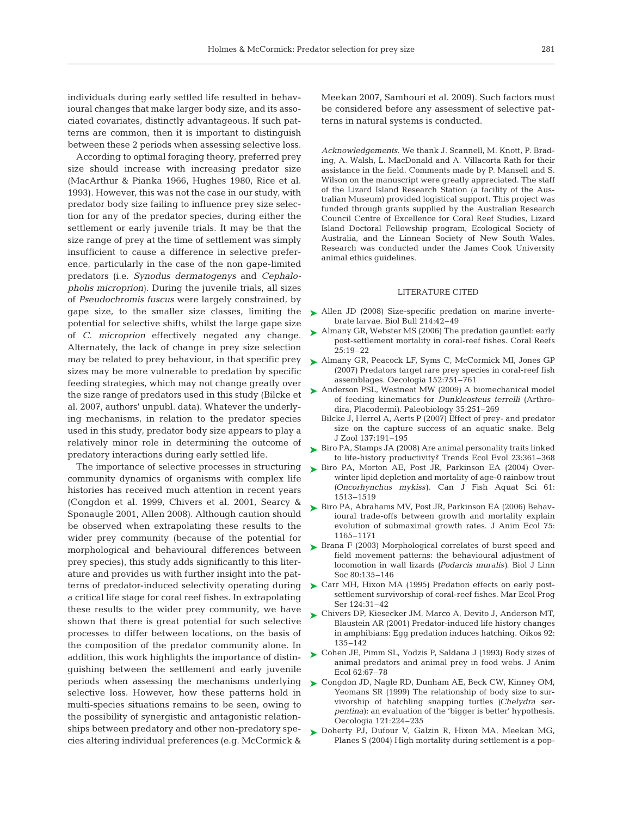individuals during early settled life resulted in behavioural changes that make larger body size, and its associated covariates, distinctly advantageous. If such patterns are common, then it is important to distinguish between these 2 periods when assessing selective loss.

According to optimal foraging theory, preferred prey size should increase with increasing predator size (MacArthur & Pianka 1966, Hughes 1980, Rice et al. 1993). However, this was not the case in our study, with predator body size failing to influence prey size selection for any of the predator species, during either the settlement or early juvenile trials. It may be that the size range of prey at the time of settlement was simply insufficient to cause a difference in selective preference, particularly in the case of the non gape-limited predators (i.e. *Synodus dermatogenys* and *Cephalopholis microprion*). During the juvenile trials, all sizes of *Pseudochromis fuscus* were largely constrained, by gape size, to the smaller size classes, limiting the potential for selective shifts, whilst the large gape size of *C. microprion* effectively negated any change. Alternately, the lack of change in prey size selection may be related to prey behaviour, in that specific prey sizes may be more vulnerable to predation by specific feeding strategies, which may not change greatly over the size range of predators used in this study (Bilcke et al. 2007, authors' unpubl. data). Whatever the underlying mechanisms, in relation to the predator species used in this study, predator body size appears to play a relatively minor role in determining the outcome of predatory interactions during early settled life.

The importance of selective processes in structuring community dynamics of organisms with complex life histories has received much attention in recent years (Congdon et al. 1999, Chivers et al. 2001, Searcy & Sponaugle 2001, Allen 2008). Although caution should be observed when extrapolating these results to the wider prey community (because of the potential for morphological and behavioural differences between prey species), this study adds significantly to this literature and provides us with further insight into the patterns of predator-induced selectivity operating during a critical life stage for coral reef fishes. In extrapolating these results to the wider prey community, we have shown that there is great potential for such selective processes to differ between locations, on the basis of the composition of the predator community alone. In addition, this work highlights the importance of distinguishing between the settlement and early juvenile periods when assessing the mechanisms underlying selective loss. However, how these patterns hold in multi-species situations remains to be seen, owing to the possibility of synergistic and antagonistic relationships between predatory and other non-predatory species altering individual preferences (e.g. McCormick &

Meekan 2007, Samhouri et al. 2009). Such factors must be considered before any assessment of selective patterns in natural systems is conducted.

*Acknowledgements*. We thank J. Scannell, M. Knott, P. Brading, A. Walsh, L. MacDonald and A. Villacorta Rath for their assistance in the field. Comments made by P. Mansell and S. Wilson on the manuscript were greatly appreciated. The staff of the Lizard Island Research Station (a facility of the Australian Museum) provided logistical support. This project was funded through grants supplied by the Australian Research Council Centre of Excellence for Coral Reef Studies, Lizard Island Doctoral Fellowship program, Ecological Society of Australia, and the Linnean Society of New South Wales. Research was conducted under the James Cook University animal ethics guidelines.

# LITERATURE CITED

- ► Allen JD (2008) Size-specific predation on marine invertebrate larvae. Biol Bull 214:42–49
- ► Almany GR, Webster MS (2006) The predation gauntlet: early post-settlement mortality in coral-reef fishes. Coral Reefs 25:19–22
- ► Almany GR, Peacock LF, Syms C, McCormick MI, Jones GP (2007) Predators target rare prey species in coral-reef fish assemblages. Oecologia 152:751–761
- ▶ Anderson PSL, Westneat MW (2009) A biomechanical model of feeding kinematics for *Dunkleosteus terrelli* (Arthrodira, Placodermi). Paleobiology 35:251–269
	- Bilcke J, Herrel A, Aerts P (2007) Effect of prey- and predator size on the capture success of an aquatic snake. Belg J Zool 137:191–195
- ► Biro PA, Stamps JA (2008) Are animal personality traits linked to life-history productivity? Trends Ecol Evol 23:361–368
- ▶ Biro PA, Morton AE, Post JR, Parkinson EA (2004) Overwinter lipid depletion and mortality of age-0 rainbow trout *(Oncorhynchus mykiss)*. Can J Fish Aquat Sci 61: 1513–1519
- ► Biro PA, Abrahams MV, Post JR, Parkinson EA (2006) Behavioural trade-offs between growth and mortality explain evolution of submaximal growth rates. J Anim Ecol 75: 1165–1171
- ▶ Brana F (2003) Morphological correlates of burst speed and field movement patterns: the behavioural adjustment of locomotion in wall lizards *(Podarcis muralis)*. Biol J Linn Soc 80:135–146
- ► Carr MH, Hixon MA (1995) Predation effects on early postsettlement survivorship of coral-reef fishes. Mar Ecol Prog Ser 124:31–42
- ► Chivers DP, Kiesecker JM, Marco A, Devito J, Anderson MT, Blaustein AR (2001) Predator-induced life history changes in amphibians: Egg predation induces hatching. Oikos 92: 135–142
- ► Cohen JE, Pimm SL, Yodzis P, Saldana J (1993) Body sizes of animal predators and animal prey in food webs. J Anim Ecol 62:67–78
- ► Congdon JD, Nagle RD, Dunham AE, Beck CW, Kinney OM, Yeomans SR (1999) The relationship of body size to survivorship of hatchling snapping turtles *(Chelydra serpentina)*: an evaluation of the 'bigger is better' hypothesis. Oecologia 121:224–235
- ▶ Doherty PJ, Dufour V, Galzin R, Hixon MA, Meekan MG, Planes S (2004) High mortality during settlement is a pop-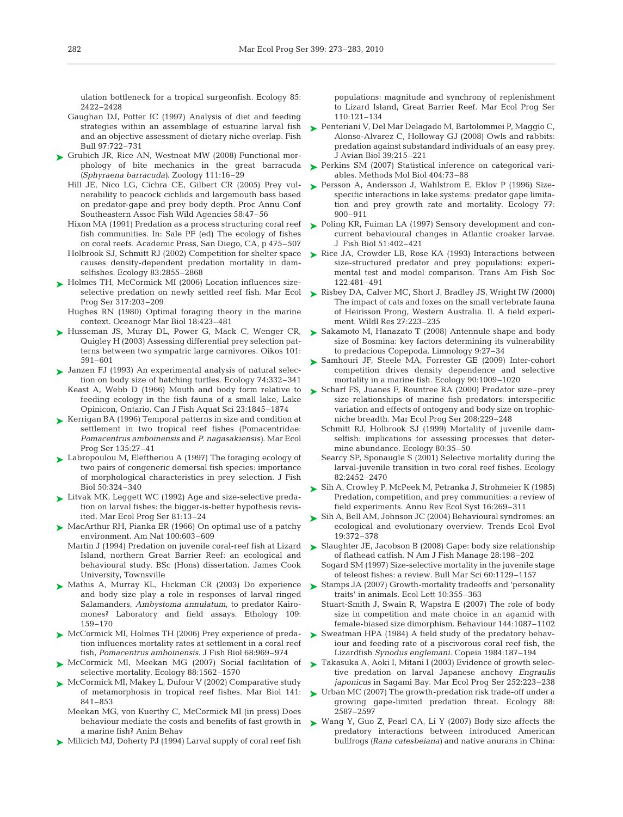ulation bottleneck for a tropical surgeonfish. Ecology 85: 2422–2428

- Gaughan DJ, Potter IC (1997) Analysis of diet and feeding strategies within an assemblage of estuarine larval fish and an objective assessment of dietary niche overlap. Fish Bull 97:722–731
- ► Grubich JR, Rice AN, Westneat MW (2008) Functional morphology of bite mechanics in the great barracuda *(Sphyraena barracuda)*. Zoology 111:16–29
	- Hill JE, Nico LG, Cichra CE, Gilbert CR (2005) Prey vulnerability to peacock cichlids and largemouth bass based on predator-gape and prey body depth. Proc Annu Conf Southeastern Assoc Fish Wild Agencies 58:47–56
	- Hixon MA (1991) Predation as a process structuring coral reef fish communities. In: Sale PF (ed) The ecology of fishes on coral reefs. Academic Press, San Diego, CA, p 475–507
	- Holbrook SJ, Schmitt RJ (2002) Competition for shelter space causes density-dependent predation mortality in damselfishes. Ecology 83:2855–2868
- ► Holmes TH, McCormick MI (2006) Location influences sizeselective predation on newly settled reef fish. Mar Ecol Prog Ser 317:203–209
	- Hughes RN (1980) Optimal foraging theory in the marine context. Oceanogr Mar Biol 18:423–481
- ► Husseman JS, Muray DL, Power G, Mack C, Wenger CR, Quigley H (2003) Assessing differential prey selection patterns between two sympatric large carnivores. Oikos 101: 591–601
- ► Janzen FJ (1993) An experimental analysis of natural selection on body size of hatching turtles. Ecology 74:332–341
- Keast A, Webb D (1966) Mouth and body form relative to feeding ecology in the fish fauna of a small lake, Lake Opinicon, Ontario. Can J Fish Aquat Sci 23:1845–1874
- ► Kerrigan BA (1996) Temporal patterns in size and condition at settlement in two tropical reef fishes (Pomacentridae: *Pomacentrus amboinensis* and *P. nagasakiensis)*. Mar Ecol Prog Ser 135:27–41
- ► Labropoulou M, Eleftheriou A (1997) The foraging ecology of two pairs of congeneric demersal fish species: importance of morphological characteristics in prey selection. J Fish Biol 50:324–340
- ► Litvak MK, Leggett WC (1992) Age and size-selective predation on larval fishes: the bigger-is-better hypothesis revisited. Mar Ecol Prog Ser 81:13–24
- ► MacArthur RH, Pianka ER (1966) On optimal use of a patchy environment. Am Nat 100:603–609
	- Martin J (1994) Predation on juvenile coral-reef fish at Lizard Island, northern Great Barrier Reef: an ecological and behavioural study. BSc (Hons) dissertation. James Cook University, Townsville
- ► Mathis A, Murray KL, Hickman CR (2003) Do experience and body size play a role in responses of larval ringed Salamanders, *Ambystoma annulatum*, to predator Kairomones? Laboratory and field assays. Ethology 109: 159–170
- ► McCormick MI, Holmes TH (2006) Prey experience of predation influences mortality rates at settlement in a coral reef fish, *Pomacentrus amboinensis.* J Fish Biol 68:969–974
- ► McCormick MI, Meekan MG (2007) Social facilitation of ► Takasuka A, Aoki I, Mitani I (2003) Evidence of growth selecselective mortality. Ecology 88:1562–1570
- ► McCormick MI, Makey L, Dufour V (2002) Comparative study of metamorphosis in tropical reef fishes. Mar Biol 141: 841–853
	- Meekan MG, von Kuerthy C, McCormick MI (in press) Does behaviour mediate the costs and benefits of fast growth in a marine fish? Anim Behav
- Milicich MJ, Doherty PJ (1994) Larval supply of coral reef fish ➤

populations: magnitude and synchrony of replenishment to Lizard Island, Great Barrier Reef. Mar Ecol Prog Ser 110:121–134

- Penteriani V, Del Mar Delagado M, Bartolommei P, Maggio C, ➤ Alonso-Alvarez C, Holloway GJ (2008) Owls and rabbits: predation against substandard individuals of an easy prey. J Avian Biol 39:215–221
- ► Perkins SM (2007) Statistical inference on categorical variables. Methods Mol Biol 404:73–88
- ► Persson A, Andersson J, Wahlstrom E, Eklov P (1996) Sizespecific interactions in lake systems: predator gape limitation and prey growth rate and mortality. Ecology 77: 900–911
- ► Poling KR, Fuiman LA (1997) Sensory development and concurrent behavioural changes in Atlantic croaker larvae. J Fish Biol 51:402–421
- ► Rice JA, Crowder LB, Rose KA (1993) Interactions between size-structured predator and prey populations: experimental test and model comparison. Trans Am Fish Soc 122:481–491
- ► Risbey DA, Calver MC, Short J, Bradley JS, Wright IW (2000) The impact of cats and foxes on the small vertebrate fauna of Heirisson Prong, Western Australia. II. A field experiment. Wildl Res 27:223–235
- ► Sakamoto M, Hanazato T (2008) Antennule shape and body size of Bosmina: key factors determining its vulnerability to predacious Copepoda. Limnology 9:27–34
- ▶ Samhouri JF, Steele MA, Forrester GE (2009) Inter-cohort competition drives density dependence and selective mortality in a marine fish. Ecology 90:1009–1020
- ► Scharf FS, Juanes F, Rountree RA (2000) Predator size–prey size relationships of marine fish predators: interspecific variation and effects of ontogeny and body size on trophicniche breadth. Mar Ecol Prog Ser 208:229–248
	- Schmitt RJ, Holbrook SJ (1999) Mortality of juvenile damselfish: implications for assessing processes that determine abundance. Ecology 80:35–50
	- Searcy SP, Sponaugle S (2001) Selective mortality during the larval-juvenile transition in two coral reef fishes. Ecology 82:2452–2470
- Sih A, Crowley P, McPeek M, Petranka J, Strohmeier K (1985) ➤ Predation, competition, and prey communities: a review of field experiments. Annu Rev Ecol Syst 16:269–311
- Sih A, Bell AM, Johnson JC (2004) Behavioural syndromes: an ➤ ecological and evolutionary overview. Trends Ecol Evol 19:372–378
- ► Slaughter JE, Jacobson B (2008) Gape: body size relationship of flathead catfish. N Am J Fish Manage 28:198–202
	- Sogard SM (1997) Size-selective mortality in the juvenile stage of teleost fishes: a review. Bull Mar Sci 60:1129–1157
- ► Stamps JA (2007) Growth-mortality tradeoffs and 'personality traits' in animals. Ecol Lett 10:355–363
	- Stuart-Smith J, Swain R, Wapstra E (2007) The role of body size in competition and mate choice in an agamid with female-biased size dimorphism. Behaviour 144:1087–1102
- ► Sweatman HPA (1984) A field study of the predatory behaviour and feeding rate of a piscivorous coral reef fish, the Lizardfish *Synodus englemani.* Copeia 1984:187–194
- tive predation on larval Japanese anchovy *Engraulis japonicus* in Sagami Bay. Mar Ecol Prog Ser 252:223–238
- ► Urban MC (2007) The growth-predation risk trade-off under a growing gape-limited predation threat. Ecology 88: 2587–2597
- ► Wang Y, Guo Z, Pearl CA, Li Y (2007) Body size affects the predatory interactions between introduced American bullfrogs *(Rana catesbeiana)* and native anurans in China: